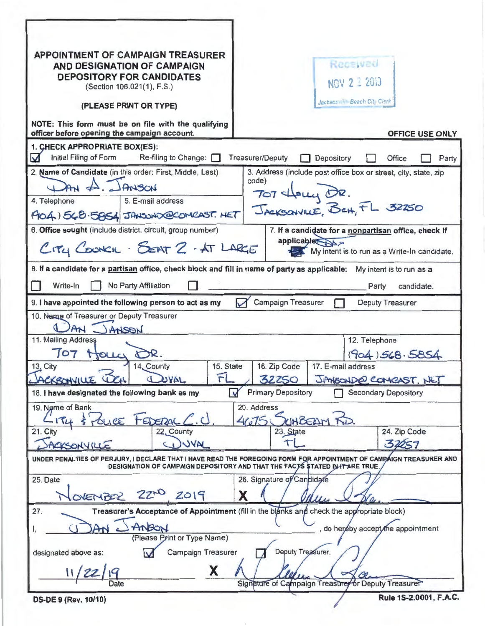| <b>APPOINTMENT OF CAMPAIGN TREASURER</b><br>AND DESIGNATION OF CAMPAIGN<br><b>DEPOSITORY FOR CANDIDATES</b><br>(Section 106.021(1), F.S.)<br>(PLEASE PRINT OR TYPE)<br>NOTE: This form must be on file with the qualifying                            | Received<br>NOV 2 2 2019<br>Jackson ill Beach Cit Clerk                                                                      |
|-------------------------------------------------------------------------------------------------------------------------------------------------------------------------------------------------------------------------------------------------------|------------------------------------------------------------------------------------------------------------------------------|
| officer before opening the campaign account.<br><b>OFFICE USE ONLY</b>                                                                                                                                                                                |                                                                                                                              |
| 1. CHECK APPROPRIATE BOX(ES):<br>Initial Filing of Form<br>Re-filing to Change: $\Box$<br><b>Treasurer/Deputy</b><br>Depository<br>Office<br>Party                                                                                                    |                                                                                                                              |
| 2. Name of Candidate (in this order: First, Middle, Last)<br>$An A.$ $An 500$<br>5. E-mail address<br>4. Telephone<br>PIO4) 568.5854 JANSUNO@COMCAST. NET                                                                                             | 3. Address (include post office box or street, city, state, zip<br>code)<br>707 Houry OR.<br>JACKSONILLE, BEH, FL 32250      |
| 6. Office sought (include district, circuit, group number)<br>CITY COOKIL - SEAT 2-AT LARGE                                                                                                                                                           | 7. If a candidate for a nonpartisan office, check if<br>applicable<br>My intent is to run as a Write-In candidate.           |
| 8. If a candidate for a partisan office, check block and fill in name of party as applicable: My intent is to run as a<br>No Party Affiliation<br>Write-In<br>Party<br>candidate.                                                                     |                                                                                                                              |
| <b>Campaign Treasurer</b><br><b>Deputy Treasurer</b><br>9. I have appointed the following person to act as my<br>10. Name of Treasurer or Deputy Treasurer<br>AN<br>ANSON<br>12. Telephone<br>11. Mailing Address<br>TOT House<br>(904)568.5854<br>R. |                                                                                                                              |
| 14. County<br>13. City<br>JACKBONVILLE WCH<br>COVAL                                                                                                                                                                                                   | 16. Zip Code<br>17. E-mail address<br>15. State<br>Fl<br>32250<br>JANSOND@ COMCAST. NET                                      |
| 18. I have designated the following bank as my                                                                                                                                                                                                        | <b>Primary Depository</b><br><b>Secondary Depository</b>                                                                     |
| 19. Name of Bank<br>OLICE FEDERAL<br>$-174$<br>22. County<br>21. City                                                                                                                                                                                 | 20. Address<br>NHBEAM<br>46750<br>24. Zip Code<br>23. State                                                                  |
| UVAL<br>ACKSONVILLE                                                                                                                                                                                                                                   | 32257<br>UNDER PENALTIES OF PERJURY, I DECLARE THAT I HAVE READ THE FOREGOING FORM FOR APPOINTMENT OF CAMPÁIGN TREASURER AND |
| 25. Date<br>OVENBER 22n0 2019                                                                                                                                                                                                                         | DESIGNATION OF CAMPAIGN DEPOSITORY AND THAT THE FACTS STATED IN IT ARE TRUE.<br>26. Signature of Candidate<br>X              |
| Treasurer's Acceptance of Appointment (fill in the blanks and check the appropriate block)<br>27.<br>ANSON<br>do hereby accept the appointment<br>AN<br>(Please Print or Type Name)                                                                   |                                                                                                                              |
| Campaign Treasurer<br>designated above as:<br>X<br>Date                                                                                                                                                                                               | Deputy Treasurer.<br>Signature of Campaign Treasurer or Deputy Treasurer                                                     |
| <b>DS-DE 9 (Rev. 10/10)</b>                                                                                                                                                                                                                           | Rule 1S-2.0001, F.A.C.                                                                                                       |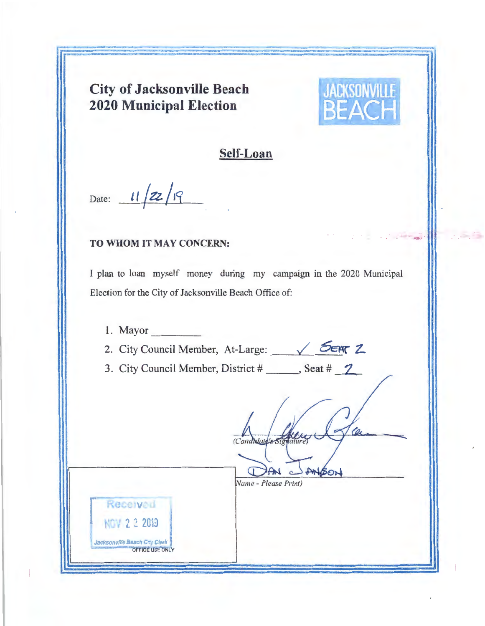## **City of Jacksonville Beach 2020 Municipal Election**



**Contact Contact** 

## **Self-Loan**

Date:  $11/22/19$ 

## **TO WHOM IT MAY CONCERN:**

I plan to loan myself money during my campaign in the 2020 Municipal Election for the City of Jacksonville Beach Office of:

**l.** Mayor \_\_\_ \_ 2. City Council Member, At-Large:  $\sqrt{6\pi/2}$ 3. City Council Member, District# \_\_\_ , Seat# **Z**  (Candidate  $\mathcal{A}$ *Name* - *Please Print)* Received  $N$ <sup>0</sup> $V$  2 2 2019 Jacksonville Beach C;ty Clerk OFFICE USE ONLY